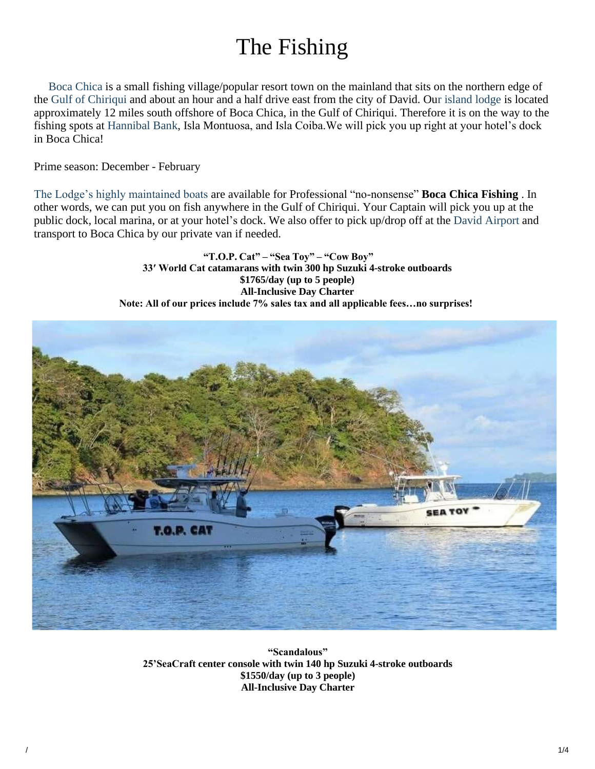# The Fishing

 Boca Chica is a small fishing village/popular resort town on the mainland that sits on the northern edge of the Gulf of Chiriqui and about an hour and a half drive east from the city of David. Our island lodge is located approximately 12 miles south offshore of Boca Chica, in the Gulf of Chiriqui. Therefore it is on the way to the fishing spots at Hannibal Bank, Isla Montuosa, and Isla Coiba.We will pick you up right at your hotel's dock in Boca Chica!

Prime season: December - February

The Lodge's highly maintained boats are available for Professional "no-nonsense" **Boca Chica Fishing** . In other words, we can put you on fish anywhere in the Gulf of Chiriqui. Your Captain will pick you up at the public dock, local marina, or at your hotel's dock. We also offer to pick up/drop off at the David Airport and transport to Boca Chica by our private van if needed.

> **"T.O.P. Cat" – "Sea Toy" – "Cow Boy" 33′ World Cat catamarans with twin 300 hp Suzuki 4-stroke outboards \$1765/day (up to 5 people) All-Inclusive Day Charter Note: All of our prices include 7% sales tax and all applicable fees…no surprises!**



**"Scandalous" 25'SeaCraft center console with twin 140 hp Suzuki 4-stroke outboards \$1550/day (up to 3 people) All-Inclusive Day Charter**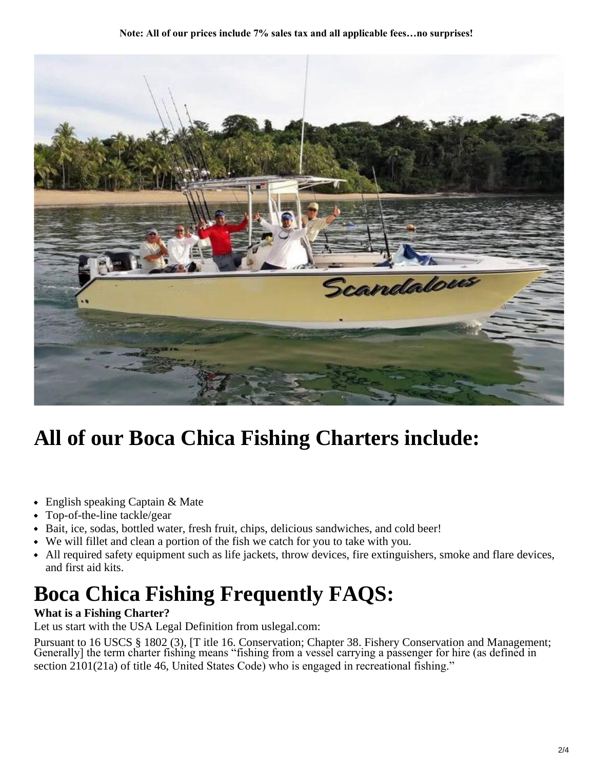#### **Note: All of our prices include 7% sales tax and all applicable fees…no surprises!**



# **All of our Boca Chica Fishing Charters include:**

- English speaking Captain & Mate
- Top-of-the-line tackle/gear
- Bait, ice, sodas, bottled water, fresh fruit, chips, delicious sandwiches, and cold beer!
- We will fillet and clean a portion of the fish we catch for you to take with you.
- All required safety equipment such as life jackets, throw devices, fire extinguishers, smoke and flare devices, and first aid kits.

# **Boca Chica Fishing Frequently FAQS:**

### **What is a Fishing Charter?**

Let us start with the USA Legal Definition from uslegal.com:

Pursuant to 16 USCS § 1802 (3), [T itle 16. Conservation; Chapter 38. Fishery Conservation and Management; Generally] the term charter fishing means "fishing from a vessel carrying a passenger for hire (as defined in section 2101(21a) of title 46, United States Code) who is engaged in recreational fishing."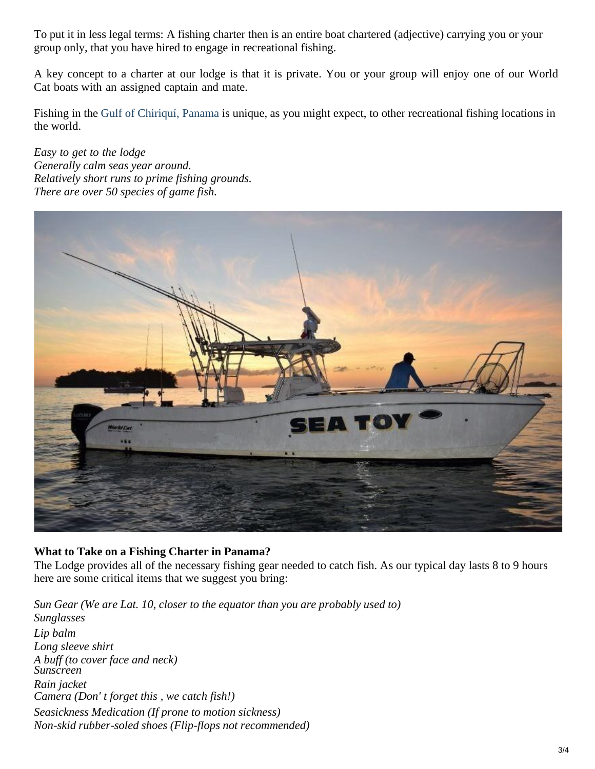To put it in less legal terms: A fishing charter then is an entire boat chartered (adjective) carrying you or your group only, that you have hired to engage in recreational fishing.

A key concept to a charter at our lodge is that it is private. You or your group will enjoy one of our World Cat boats with an assigned captain and mate.

Fishing in the Gulf of Chiriquí, Panama is unique, as you might expect, to other recreational fishing locations in the world.

*Easy to get to the lodge Generally calm seas year around. Relatively short runs to prime fishing grounds. There are over 50 species of game fish.*



### **What to Take on a Fishing Charter in Panama?**

The Lodge provides all of the necessary fishing gear needed to catch fish. As our typical day lasts 8 to 9 hours here are some critical items that we suggest you bring:

*Sun Gear (We are Lat. 10, closer to the equator than you are probably used to) Sunglasses Lip balm Long sleeve shirt A buff (to cover face and neck) Sunscreen Rain jacket Camera (Don' t forget this , we catch fish!) Seasickness Medication (If prone to motion sickness) Non-skid rubber-soled shoes (Flip-flops not recommended)*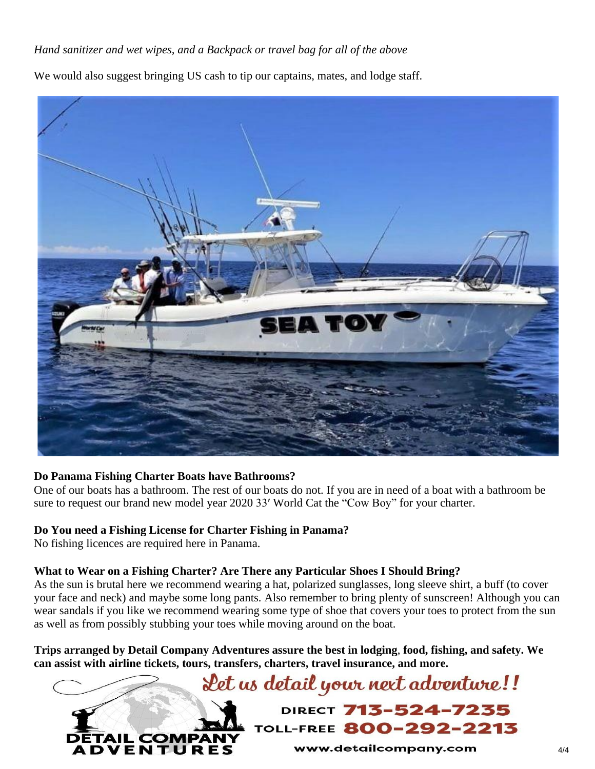## *Hand sanitizer and wet wipes, and a Backpack or travel bag for all of the above*

We would also suggest bringing US cash to tip our captains, mates, and lodge staff.



### **Do Panama Fishing Charter Boats have Bathrooms?**

One of our boats has a bathroom. The rest of our boats do not. If you are in need of a boat with a bathroom be sure to request our brand new model year 2020 33′ World Cat the "Cow Boy" for your charter.

### **Do You need a Fishing License for Charter Fishing in Panama?**

No fishing licences are required here in Panama.

### **What to Wear on a Fishing Charter? Are There any Particular Shoes I Should Bring?**

As the sun is brutal here we recommend wearing a hat, polarized sunglasses, long sleeve shirt, a buff (to cover your face and neck) and maybe some long pants. Also remember to bring plenty of sunscreen! Although you can wear sandals if you like we recommend wearing some type of shoe that covers your toes to protect from the sun as well as from possibly stubbing your toes while moving around on the boat.

**Trips arranged by Detail Company Adventures assure the best in lodging**, **food, fishing, and safety. We can assist with airline tickets, tours, transfers, charters, travel insurance, and more.**

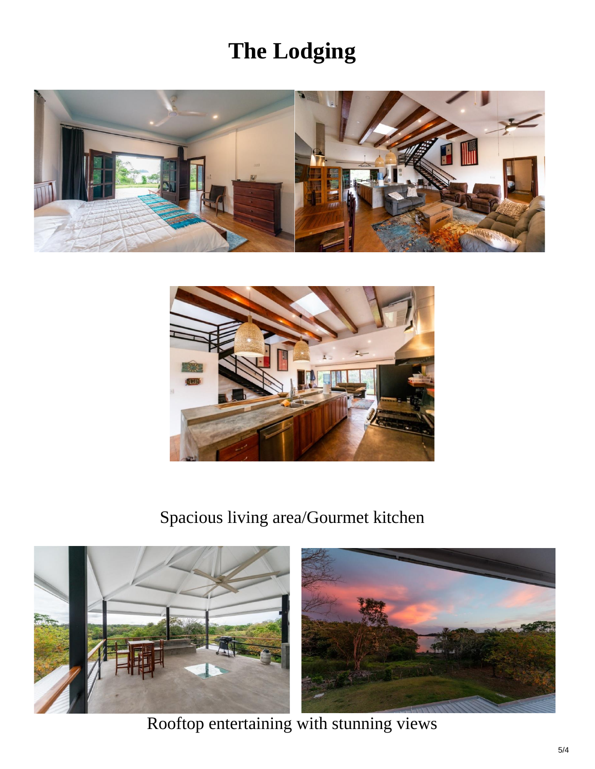# **The Lodging**





## Spacious living area/Gourmet kitchen



Rooftop entertaining with stunning views